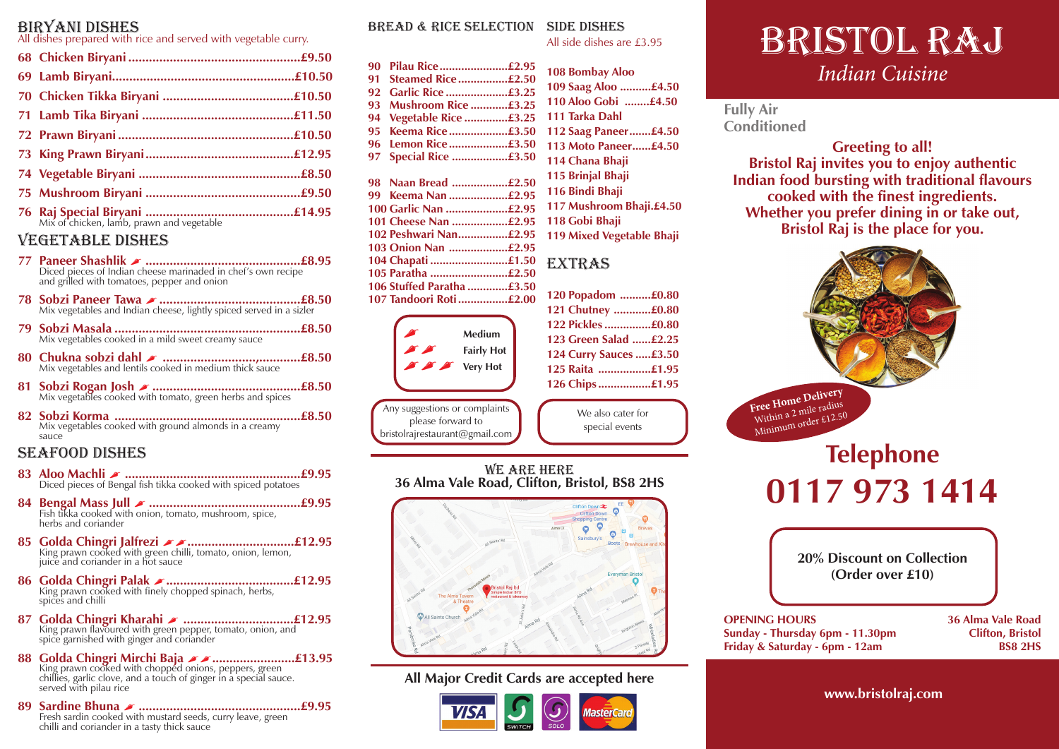### Biryani Dishes

All dishes prepared with rice and served with vegetable curry.

### Vegetable Dishes

- **77 Paneer Shashlik .............................................£8.95** Diced pieces of Indian cheese marinaded in chef's own recipe and grilled with tomatoes, pepper and onion
- **78 Sobzi Paneer Tawa .........................................£8.50** Mix vegetables and Indian cheese, lightly spiced served in a sizler
- **79 Sobzi Masala ......................................................£8.50** Mix vegetables cooked in a mild sweet creamy sauce
- **<sup>80</sup> Chukna sobzi dahl ...........................,............£8.50** Mix vegetables and lentils cooked in medium thick sauce
- **81 Sobzi Rogan Josh ...........................................£8.50** Mix vegetables cooked with tomato, green herbs and spices
- **82 Sobzi Korma ......................................................£8.50** Mix vegetables cooked with ground almonds in a creamy sauce

### Seafood Dishes

- **83 Aloo Machli ...................................................£9.95** Diced pieces of Bengal fish tikka cooked with spiced potatoes
- **84 Bengal Mass Jull ............................................£9.95** Fish tikka cooked with onion, tomato, mushroom, spice, herbs and coriander
- **85 Golda Chingri Jalfrezi ...............................£12.95** King prawn cooked with green chilli, tomato, onion, lemon, juice and coriander in a hot sauce
- **86 Golda Chingri Palak .....................................£12.95** King prawn cooked with finely chopped spinach, herbs, spices and chilli
- **87 Golda Chingri Kharahi ................................£12.95** King prawn flavoured with green pepper, tomato, onion, and spice garnished with ginger and coriander
- **88 Golda Chingri Mirchi Baja <br>King prawn cooked with chopped onions, peppers, green<br>chillies, garlic clove, and a touch of ginger in a special sauce.** served with pilau rice
- **89 Sardine Bhuna ...............................................£9.95** Fresh sardin cooked with mustard seeds, curry leave, green chilli and coriander in a tasty thick sauce

### Bread & Rice Selection Side Dishes

All side dishes are £3.95

| 90 | Pilau Rice…………………£2.95     |    |
|----|----------------------------|----|
| 91 | Steamed Rice£2.50          | 10 |
| 92 | Garlic Rice £3.25          | 10 |
| 93 | <b>Mushroom Rice £3.25</b> | 11 |
| 94 | Vegetable Rice £3.25       | 11 |
| 95 | Keema Rice£3.50            | 11 |
| 96 | Lemon Rice£3.50            | 11 |
| 97 | Special Rice £3.50         | 11 |
|    |                            | 11 |
|    | 98 Naan Bread £2.50        |    |
|    | 99 Keema Nan £2.95         | 11 |
|    | 100 Garlic Nan £2.95       | 11 |
|    | 101 Cheese Nan £2.95       | 11 |
|    | 102 Peshwari Nan£2.95      | 11 |
|    | 103 Onion Nan £2.95        |    |
|    | 104 Chapati £1.50          | E. |
|    | 105 Paratha £2.50          |    |
|    | 106 Stuffed Paratha £3.50  |    |
|    | 107 Tandoori Roti £2.00    | 12 |
|    |                            |    |



Any suggestions or complaints please forward to bristolrajrestaurant@gmail.com  **Bombay Aloo Saag Aloo ..........£4.50 Aloo Gobi ........£4.50 Tarka Dahl Saag Paneer.......£4.50 Moto Paneer......£4.50 Chana Bhaji Brinjal Bhaji Bindi Bhaji Mushroom Bhaji.£4.50 Gobi Bhaji Mixed Vegetable Bhaji**

# **XTRAS**

| 120 Popadom £0.80      |  |
|------------------------|--|
| 121 Chutney £0.80      |  |
| 122 Pickles £0.80      |  |
| 123 Green Salad £2.25  |  |
| 124 Curry Sauces £3.50 |  |
| 125 Raita £1.95        |  |
| 126 Chips£1.95         |  |
|                        |  |

We also cater for special events

#### We Are Here **36 Alma Vale Road, Clifton, Bristol, BS8 2HS**



### **All Major Credit Cards are accepted here**



# Bristol Raj *Indian Cuisine*

## **Fully Air Conditioned**

**Greeting to all! Bristol Raj invites you to enjoy authentic Indian food bursting with traditional flavours cooked with the finest ingredients. Whether you prefer dining in or take out, Bristol Raj is the place for you.**



**www.bristolraj.com**